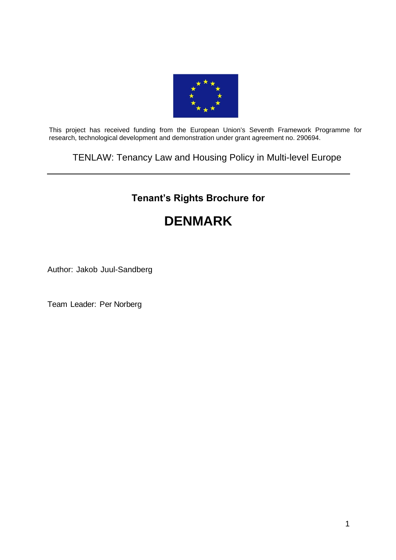

This project has received funding from the European Union's Seventh Framework Programme for research, technological development and demonstration under grant agreement no. 290694.

TENLAW: Tenancy Law and Housing Policy in Multi-level Europe

# **Tenant's Rights Brochure for**

# **DENMARK**

Author: Jakob Juul-Sandberg

Team Leader: Per Norberg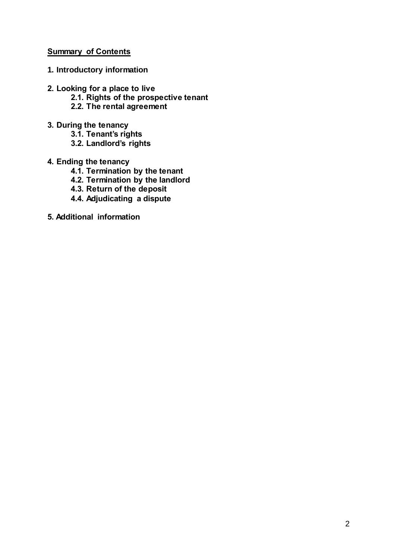# **Summary of Contents**

- **1. Introductory information**
- **2. Looking for a place to live**
	- **2.1. Rights of the prospective tenant**
	- **2.2. The rental agreement**
- **3. During the tenancy**
	- **3.1. Tenant's rights**
	- **3.2. Landlord's rights**
- **4. Ending the tenancy**
	- **4.1. Termination by the tenant**
	- **4.2. Termination by the landlord**
	- **4.3. Return of the deposit**
	- **4.4. Adjudicating a dispute**
- **5. Additional information**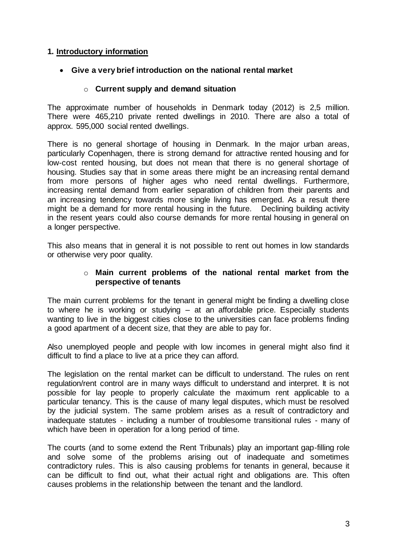# **1. Introductory information**

#### **Give a very brief introduction on the national rental market**

#### o **Current supply and demand situation**

The approximate number of households in Denmark today (2012) is 2,5 million. There were 465,210 private rented dwellings in 2010. There are also a total of approx. 595,000 social rented dwellings.

There is no general shortage of housing in Denmark. In the major urban areas, particularly Copenhagen, there is strong demand for attractive rented housing and for low-cost rented housing, but does not mean that there is no general shortage of housing. Studies say that in some areas there might be an increasing rental demand from more persons of higher ages who need rental dwellings. Furthermore, increasing rental demand from earlier separation of children from their parents and an increasing tendency towards more single living has emerged. As a result there might be a demand for more rental housing in the future. Declining building activity in the resent years could also course demands for more rental housing in general on a longer perspective.

This also means that in general it is not possible to rent out homes in low standards or otherwise very poor quality.

#### o **Main current problems of the national rental market from the perspective of tenants**

The main current problems for the tenant in general might be finding a dwelling close to where he is working or studying – at an affordable price. Especially students wanting to live in the biggest cities close to the universities can face problems finding a good apartment of a decent size, that they are able to pay for.

Also unemployed people and people with low incomes in general might also find it difficult to find a place to live at a price they can afford.

The legislation on the rental market can be difficult to understand. The rules on rent regulation/rent control are in many ways difficult to understand and interpret. It is not possible for lay people to properly calculate the maximum rent applicable to a particular tenancy. This is the cause of many legal disputes, which must be resolved by the judicial system. The same problem arises as a result of contradictory and inadequate statutes - including a number of troublesome transitional rules - many of which have been in operation for a long period of time.

The courts (and to some extend the Rent Tribunals) play an important gap-filling role and solve some of the problems arising out of inadequate and sometimes contradictory rules. This is also causing problems for tenants in general, because it can be difficult to find out, what their actual right and obligations are. This often causes problems in the relationship between the tenant and the landlord.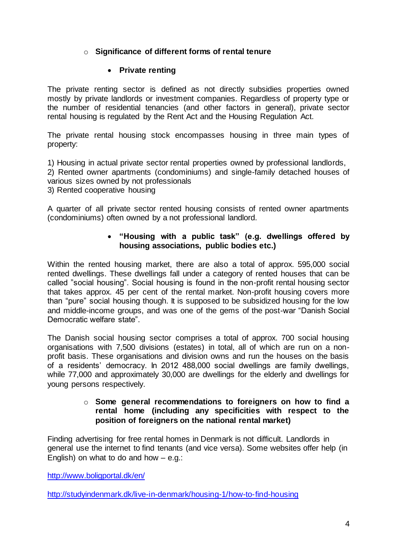# o **Significance of different forms of rental tenure**

#### **Private renting**

The private renting sector is defined as not directly subsidies properties owned mostly by private landlords or investment companies. Regardless of property type or the number of residential tenancies (and other factors in general), private sector rental housing is regulated by the Rent Act and the Housing Regulation Act.

The private rental housing stock encompasses housing in three main types of property:

1) Housing in actual private sector rental properties owned by professional landlords, 2) Rented owner apartments (condominiums) and single-family detached houses of

various sizes owned by not professionals

3) Rented cooperative housing

A quarter of all private sector rented housing consists of rented owner apartments (condominiums) often owned by a not professional landlord.

#### **"Housing with a public task" (e.g. dwellings offered by housing associations, public bodies etc.)**

Within the rented housing market, there are also a total of approx. 595,000 social rented dwellings. These dwellings fall under a category of rented houses that can be called "social housing". Social housing is found in the non-profit rental housing sector that takes approx. 45 per cent of the rental market. Non-profit housing covers more than "pure" social housing though. It is supposed to be subsidized housing for the low and middle-income groups, and was one of the gems of the post-war "Danish Social Democratic welfare state".

The Danish social housing sector comprises a total of approx. 700 social housing organisations with 7,500 divisions (estates) in total, all of which are run on a nonprofit basis. These organisations and division owns and run the houses on the basis of a residents' democracy. In 2012 488,000 social dwellings are family dwellings, while 77,000 and approximately 30,000 are dwellings for the elderly and dwellings for young persons respectively.

#### o **Some general recommendations to foreigners on how to find a rental home (including any specificities with respect to the position of foreigners on the national rental market)**

Finding advertising for free rental homes in Denmark is not difficult. Landlords in general use the internet to find tenants (and vice versa). Some websites offer help (in English) on what to do and how  $-$  e.g.:

<http://www.boligportal.dk/en/>

<http://studyindenmark.dk/live-in-denmark/housing-1/how-to-find-housing>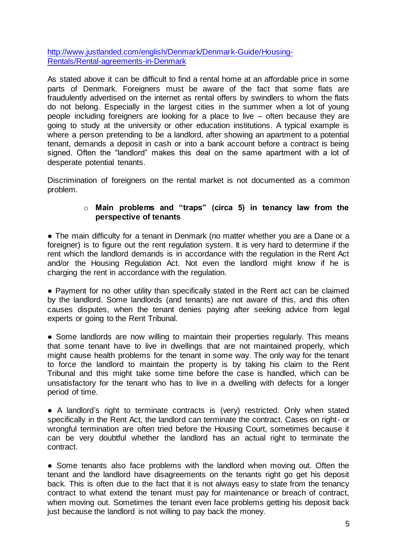[http://www.justlanded.com/english/Denmark/Denmark-Guide/Housing-](http://www.justlanded.com/english/Denmark/Denmark-Guide/Housing-Rentals/Rental-agreements-in-Denmark)[Rentals/Rental-agreements-in-Denmark](http://www.justlanded.com/english/Denmark/Denmark-Guide/Housing-Rentals/Rental-agreements-in-Denmark)

As stated above it can be difficult to find a rental home at an affordable price in some parts of Denmark. Foreigners must be aware of the fact that some flats are fraudulently advertised on the internet as rental offers by swindlers to whom the flats do not belong. Especially in the largest cities in the summer when a lot of young people including foreigners are looking for a place to live – often because they are going to study at the university or other education institutions. A typical example is where a person pretending to be a landlord, after showing an apartment to a potential tenant, demands a deposit in cash or into a bank account before a contract is being signed. Often the "landlord" makes this deal on the same apartment with a lot of desperate potential tenants.

Discrimination of foreigners on the rental market is not documented as a common problem.

#### o **Main problems and "traps" (circa 5) in tenancy law from the perspective of tenants**

• The main difficulty for a tenant in Denmark (no matter whether you are a Dane or a foreigner) is to figure out the rent regulation system. It is very hard to determine if the rent which the landlord demands is in accordance with the regulation in the Rent Act and/or the Housing Regulation Act. Not even the landlord might know if he is charging the rent in accordance with the regulation.

• Payment for no other utility than specifically stated in the Rent act can be claimed by the landlord. Some landlords (and tenants) are not aware of this, and this often causes disputes, when the tenant denies paying after seeking advice from legal experts or going to the Rent Tribunal.

• Some landlords are now willing to maintain their properties regularly. This means that some tenant have to live in dwellings that are not maintained properly, which might cause health problems for the tenant in some way. The only way for the tenant to force the landlord to maintain the property is by taking his claim to the Rent Tribunal and this might take some time before the case is handled, which can be unsatisfactory for the tenant who has to live in a dwelling with defects for a longer period of time.

• A landlord's right to terminate contracts is (very) restricted. Only when stated specifically in the Rent Act, the landlord can terminate the contract. Cases on right- or wrongful termination are often tried before the Housing Court, sometimes because it can be very doubtful whether the landlord has an actual right to terminate the contract.

• Some tenants also face problems with the landlord when moving out. Often the tenant and the landlord have disagreements on the tenants right go get his deposit back. This is often due to the fact that it is not always easy to state from the tenancy contract to what extend the tenant must pay for maintenance or breach of contract, when moving out. Sometimes the tenant even face problems getting his deposit back just because the landlord is not willing to pay back the money.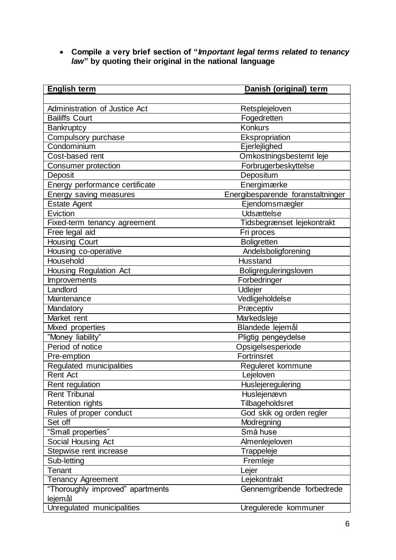**Compile a very brief section of "***Important legal terms related to tenancy law***" by quoting their original in the national language** 

| <b>English term</b>              | Danish (original) term            |
|----------------------------------|-----------------------------------|
|                                  |                                   |
| Administration of Justice Act    | Retsplejeloven                    |
| <b>Bailiffs Court</b>            | Fogedretten                       |
| Bankruptcy                       | <b>Konkurs</b>                    |
| Compulsory purchase              | Ekspropriation                    |
| Condominium                      | Ejerlejlighed                     |
| Cost-based rent                  | Omkostningsbestemt leje           |
| Consumer protection              | Forbrugerbeskyttelse              |
| Deposit                          | Depositum                         |
| Energy performance certificate   | Energimærke                       |
| Energy saving measures           | Energibesparende foranstaltninger |
| <b>Estate Agent</b>              | Ejendomsmægler                    |
| Eviction                         | <b>Udsættelse</b>                 |
| Fixed-term tenancy agreement     | Tidsbegrænset lejekontrakt        |
| Free legal aid                   | Fri proces                        |
| <b>Housing Court</b>             | <b>Boligretten</b>                |
| Housing co-operative             | Andelsboligforening               |
| Household                        | Husstand                          |
| Housing Regulation Act           | Boligreguleringsloven             |
| Improvements                     | Forbedringer                      |
| Landlord                         | Udlejer                           |
| Maintenance                      | Vedligeholdelse                   |
| Mandatory                        | Præceptiv                         |
| Market rent                      | Markedsleje                       |
| Mixed properties                 | Blandede lejemål                  |
| "Money liability"                | Pligtig pengeydelse               |
| Period of notice                 | Opsigelsesperiode                 |
| Pre-emption                      | Fortrinsret                       |
| Regulated municipalities         | Reguleret kommune                 |
| <b>Rent Act</b>                  | Lejeloven                         |
| Rent regulation                  | Huslejeregulering                 |
| <b>Rent Tribunal</b>             | Huslejenævn                       |
| <b>Retention rights</b>          | Tilbageholdsret                   |
| Rules of proper conduct          | God skik og orden regler          |
| Set off                          | Modregning                        |
| "Small properties"               | Små huse                          |
| Social Housing Act               | Almenlejeloven                    |
| Stepwise rent increase           | Trappeleje                        |
| Sub-letting                      | Fremleje                          |
| Tenant                           | Lejer                             |
| Tenancy Agreement                | Lejekontrakt                      |
| "Thoroughly improved" apartments | Gennemgribende forbedrede         |
| lejemål                          |                                   |
| Unregulated municipalities       | Uregulerede kommuner              |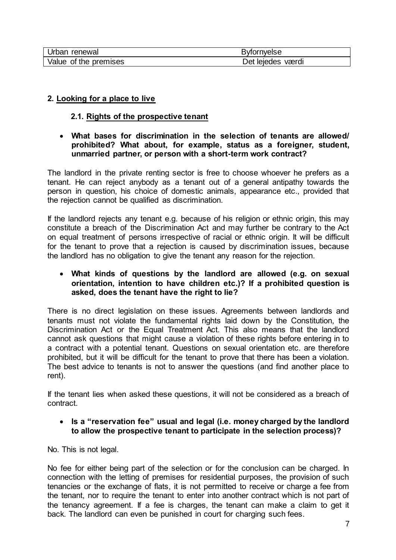| Urban renewal         | <b>Byfornyelse</b> |
|-----------------------|--------------------|
| Value of the premises | Det lejedes værdi  |

# **2. Looking for a place to live**

# **2.1. Rights of the prospective tenant**

#### **What bases for discrimination in the selection of tenants are allowed/ prohibited? What about, for example, status as a foreigner, student, unmarried partner, or person with a short-term work contract?**

The landlord in the private renting sector is free to choose whoever he prefers as a tenant. He can reject anybody as a tenant out of a general antipathy towards the person in question, his choice of domestic animals, appearance etc., provided that the rejection cannot be qualified as discrimination.

If the landlord rejects any tenant e.g. because of his religion or ethnic origin, this may constitute a breach of the Discrimination Act and may further be contrary to the Act on equal treatment of persons irrespective of racial or ethnic origin. It will be difficult for the tenant to prove that a rejection is caused by discrimination issues, because the landlord has no obligation to give the tenant any reason for the rejection.

#### **What kinds of questions by the landlord are allowed (e.g. on sexual orientation, intention to have children etc.)? If a prohibited question is asked, does the tenant have the right to lie?**

There is no direct legislation on these issues. Agreements between landlords and tenants must not violate the fundamental rights laid down by the Constitution, the Discrimination Act or the Equal Treatment Act. This also means that the landlord cannot ask questions that might cause a violation of these rights before entering in to a contract with a potential tenant. Questions on sexual orientation etc. are therefore prohibited, but it will be difficult for the tenant to prove that there has been a violation. The best advice to tenants is not to answer the questions (and find another place to rent).

If the tenant lies when asked these questions, it will not be considered as a breach of contract.

# **Is a "reservation fee" usual and legal (i.e. money charged by the landlord to allow the prospective tenant to participate in the selection process)?**

No. This is not legal.

No fee for either being part of the selection or for the conclusion can be charged. In connection with the letting of premises for residential purposes, the provision of such tenancies or the exchange of flats, it is not permitted to receive or charge a fee from the tenant, nor to require the tenant to enter into another contract which is not part of the tenancy agreement. If a fee is charges, the tenant can make a claim to get it back. The landlord can even be punished in court for charging such fees.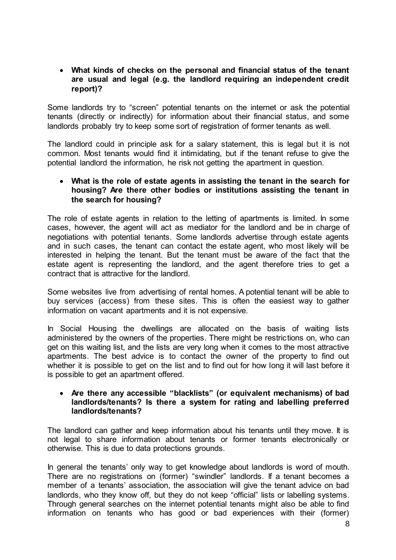### **What kinds of checks on the personal and financial status of the tenant are usual and legal (e.g. the landlord requiring an independent credit report)?**

Some landlords try to "screen" potential tenants on the internet or ask the potential tenants (directly or indirectly) for information about their financial status, and some landlords probably try to keep some sort of registration of former tenants as well.

The landlord could in principle ask for a salary statement, this is legal but it is not common. Most tenants would find it intimidating, but if the tenant refuse to give the potential landlord the information, he risk not getting the apartment in question.

#### **What is the role of estate agents in assisting the tenant in the search for housing? Are there other bodies or institutions assisting the tenant in the search for housing?**

The role of estate agents in relation to the letting of apartments is limited. In some cases, however, the agent will act as mediator for the landlord and be in charge of negotiations with potential tenants. Some landlords advertise through estate agents and in such cases, the tenant can contact the estate agent, who most likely will be interested in helping the tenant. But the tenant must be aware of the fact that the estate agent is representing the landlord, and the agent therefore tries to get a contract that is attractive for the landlord.

Some websites live from advertising of rental homes. A potential tenant will be able to buy services (access) from these sites. This is often the easiest way to gather information on vacant apartments and it is not expensive.

In Social Housing the dwellings are allocated on the basis of waiting lists administered by the owners of the properties. There might be restrictions on, who can get on this waiting list, and the lists are very long when it comes to the most attractive apartments. The best advice is to contact the owner of the property to find out whether it is possible to get on the list and to find out for how long it will last before it is possible to get an apartment offered.

#### **Are there any accessible "blacklists" (or equivalent mechanisms) of bad landlords/tenants? Is there a system for rating and labelling preferred landlords/tenants?**

The landlord can gather and keep information about his tenants until they move. It is not legal to share information about tenants or former tenants electronically or otherwise. This is due to data protections grounds.

In general the tenants' only way to get knowledge about landlords is word of mouth. There are no registrations on (former) "swindler" landlords. If a tenant becomes a member of a tenants' association, the association will give the tenant advice on bad landlords, who they know off, but they do not keep "official" lists or labelling systems. Through general searches on the internet potential tenants might also be able to find information on tenants who has good or bad experiences with their (former)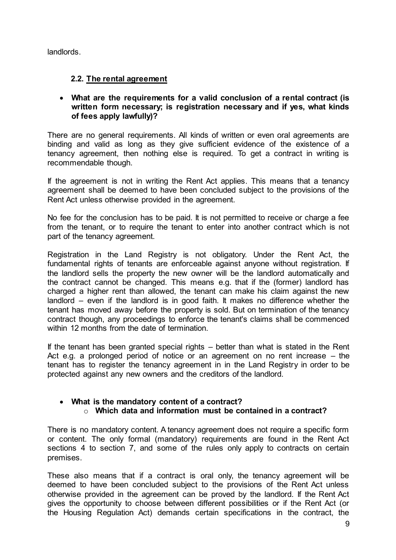landlords.

# **2.2. The rental agreement**

 **What are the requirements for a valid conclusion of a rental contract (is written form necessary; is registration necessary and if yes, what kinds of fees apply lawfully)?**

There are no general requirements. All kinds of written or even oral agreements are binding and valid as long as they give sufficient evidence of the existence of a tenancy agreement, then nothing else is required. To get a contract in writing is recommendable though.

If the agreement is not in writing the Rent Act applies. This means that a tenancy agreement shall be deemed to have been concluded subject to the provisions of the Rent Act unless otherwise provided in the agreement.

No fee for the conclusion has to be paid. It is not permitted to receive or charge a fee from the tenant, or to require the tenant to enter into another contract which is not part of the tenancy agreement.

Registration in the Land Registry is not obligatory. Under the Rent Act, the fundamental rights of tenants are enforceable against anyone without registration. If the landlord sells the property the new owner will be the landlord automatically and the contract cannot be changed. This means e.g. that if the (former) landlord has charged a higher rent than allowed, the tenant can make his claim against the new landlord – even if the landlord is in good faith. It makes no difference whether the tenant has moved away before the property is sold. But on termination of the tenancy contract though, any proceedings to enforce the tenant's claims shall be commenced within 12 months from the date of termination.

If the tenant has been granted special rights – better than what is stated in the Rent Act e.g. a prolonged period of notice or an agreement on no rent increase – the tenant has to register the tenancy agreement in in the Land Registry in order to be protected against any new owners and the creditors of the landlord.

### **What is the mandatory content of a contract?** o **Which data and information must be contained in a contract?**

There is no mandatory content. A tenancy agreement does not require a specific form or content. The only formal (mandatory) requirements are found in the Rent Act sections 4 to section 7, and some of the rules only apply to contracts on certain premises.

These also means that if a contract is oral only, the tenancy agreement will be deemed to have been concluded subject to the provisions of the Rent Act unless otherwise provided in the agreement can be proved by the landlord. If the Rent Act gives the opportunity to choose between different possibilities or if the Rent Act (or the Housing Regulation Act) demands certain specifications in the contract, the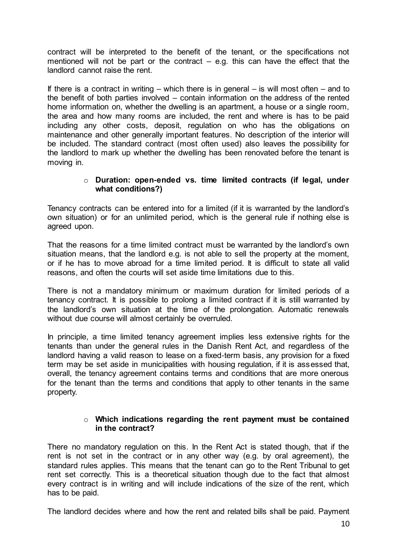contract will be interpreted to the benefit of the tenant, or the specifications not mentioned will not be part or the contract – e.g. this can have the effect that the landlord cannot raise the rent.

If there is a contract in writing – which there is in general – is will most often – and to the benefit of both parties involved – contain information on the address of the rented home information on, whether the dwelling is an apartment, a house or a single room, the area and how many rooms are included, the rent and where is has to be paid including any other costs, deposit, regulation on who has the obligations on maintenance and other generally important features. No description of the interior will be included. The standard contract (most often used) also leaves the possibility for the landlord to mark up whether the dwelling has been renovated before the tenant is moving in.

### o **Duration: open-ended vs. time limited contracts (if legal, under what conditions?)**

Tenancy contracts can be entered into for a limited (if it is warranted by the landlord's own situation) or for an unlimited period, which is the general rule if nothing else is agreed upon.

That the reasons for a time limited contract must be warranted by the landlord's own situation means, that the landlord e.g. is not able to sell the property at the moment, or if he has to move abroad for a time limited period. It is difficult to state all valid reasons, and often the courts will set aside time limitations due to this.

There is not a mandatory minimum or maximum duration for limited periods of a tenancy contract. It is possible to prolong a limited contract if it is still warranted by the landlord's own situation at the time of the prolongation. Automatic renewals without due course will almost certainly be overruled.

In principle, a time limited tenancy agreement implies less extensive rights for the tenants than under the general rules in the Danish Rent Act, and regardless of the landlord having a valid reason to lease on a fixed-term basis, any provision for a fixed term may be set aside in municipalities with housing regulation, if it is assessed that, overall, the tenancy agreement contains terms and conditions that are more onerous for the tenant than the terms and conditions that apply to other tenants in the same property.

#### o **Which indications regarding the rent payment must be contained in the contract?**

There no mandatory regulation on this. In the Rent Act is stated though, that if the rent is not set in the contract or in any other way (e.g. by oral agreement), the standard rules applies. This means that the tenant can go to the Rent Tribunal to get rent set correctly. This is a theoretical situation though due to the fact that almost every contract is in writing and will include indications of the size of the rent, which has to be paid.

The landlord decides where and how the rent and related bills shall be paid. Payment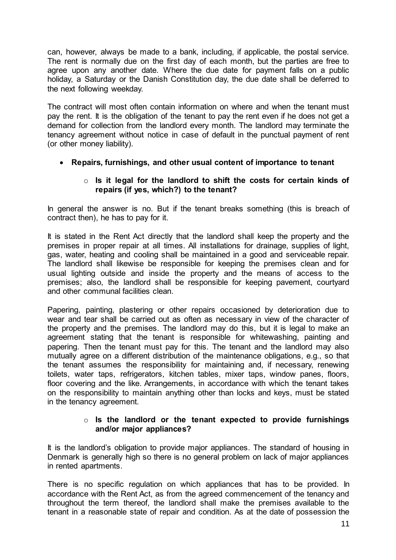can, however, always be made to a bank, including, if applicable, the postal service. The rent is normally due on the first day of each month, but the parties are free to agree upon any another date. Where the due date for payment falls on a public holiday, a Saturday or the Danish Constitution day, the due date shall be deferred to the next following weekday.

The contract will most often contain information on where and when the tenant must pay the rent. It is the obligation of the tenant to pay the rent even if he does not get a demand for collection from the landlord every month. The landlord may terminate the tenancy agreement without notice in case of default in the punctual payment of rent (or other money liability).

# **Repairs, furnishings, and other usual content of importance to tenant**

#### o **Is it legal for the landlord to shift the costs for certain kinds of repairs (if yes, which?) to the tenant?**

In general the answer is no. But if the tenant breaks something (this is breach of contract then), he has to pay for it.

It is stated in the Rent Act directly that the landlord shall keep the property and the premises in proper repair at all times. All installations for drainage, supplies of light, gas, water, heating and cooling shall be maintained in a good and serviceable repair. The landlord shall likewise be responsible for keeping the premises clean and for usual lighting outside and inside the property and the means of access to the premises; also, the landlord shall be responsible for keeping pavement, courtyard and other communal facilities clean.

Papering, painting, plastering or other repairs occasioned by deterioration due to wear and tear shall be carried out as often as necessary in view of the character of the property and the premises. The landlord may do this, but it is legal to make an agreement stating that the tenant is responsible for whitewashing, painting and papering. Then the tenant must pay for this. The tenant and the landlord may also mutually agree on a different distribution of the maintenance obligations, e.g., so that the tenant assumes the responsibility for maintaining and, if necessary, renewing toilets, water taps, refrigerators, kitchen tables, mixer taps, window panes, floors, floor covering and the like. Arrangements, in accordance with which the tenant takes on the responsibility to maintain anything other than locks and keys, must be stated in the tenancy agreement.

#### o **Is the landlord or the tenant expected to provide furnishings and/or major appliances?**

It is the landlord's obligation to provide major appliances. The standard of housing in Denmark is generally high so there is no general problem on lack of major appliances in rented apartments.

There is no specific regulation on which appliances that has to be provided. In accordance with the Rent Act, as from the agreed commencement of the tenancy and throughout the term thereof, the landlord shall make the premises available to the tenant in a reasonable state of repair and condition. As at the date of possession the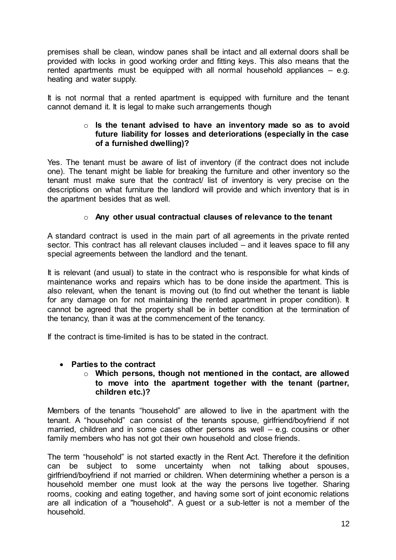premises shall be clean, window panes shall be intact and all external doors shall be provided with locks in good working order and fitting keys. This also means that the rented apartments must be equipped with all normal household appliances – e.g. heating and water supply.

It is not normal that a rented apartment is equipped with furniture and the tenant cannot demand it. It is legal to make such arrangements though

#### o **Is the tenant advised to have an inventory made so as to avoid future liability for losses and deteriorations (especially in the case of a furnished dwelling)?**

Yes. The tenant must be aware of list of inventory (if the contract does not include one). The tenant might be liable for breaking the furniture and other inventory so the tenant must make sure that the contract/ list of inventory is very precise on the descriptions on what furniture the landlord will provide and which inventory that is in the apartment besides that as well.

# o **Any other usual contractual clauses of relevance to the tenant**

A standard contract is used in the main part of all agreements in the private rented sector. This contract has all relevant clauses included – and it leaves space to fill any special agreements between the landlord and the tenant.

It is relevant (and usual) to state in the contract who is responsible for what kinds of maintenance works and repairs which has to be done inside the apartment. This is also relevant, when the tenant is moving out (to find out whether the tenant is liable for any damage on for not maintaining the rented apartment in proper condition). It cannot be agreed that the property shall be in better condition at the termination of the tenancy, than it was at the commencement of the tenancy.

If the contract is time-limited is has to be stated in the contract.

# **Parties to the contract**

#### o **Which persons, though not mentioned in the contact, are allowed to move into the apartment together with the tenant (partner, children etc.)?**

Members of the tenants "household" are allowed to live in the apartment with the tenant. A "household" can consist of the tenants spouse, girlfriend/boyfriend if not married, children and in some cases other persons as well – e.g. cousins or other family members who has not got their own household and close friends.

The term "household" is not started exactly in the Rent Act. Therefore it the definition can be subject to some uncertainty when not talking about spouses, girlfriend/boyfriend if not married or children. When determining whether a person is a household member one must look at the way the persons live together. Sharing rooms, cooking and eating together, and having some sort of joint economic relations are all indication of a "household". A guest or a sub-letter is not a member of the household.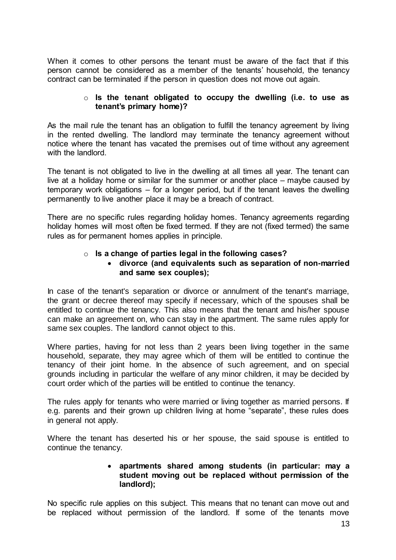When it comes to other persons the tenant must be aware of the fact that if this person cannot be considered as a member of the tenants' household, the tenancy contract can be terminated if the person in question does not move out again.

#### o **Is the tenant obligated to occupy the dwelling (i.e. to use as tenant's primary home)?**

As the mail rule the tenant has an obligation to fulfill the tenancy agreement by living in the rented dwelling. The landlord may terminate the tenancy agreement without notice where the tenant has vacated the premises out of time without any agreement with the landlord

The tenant is not obligated to live in the dwelling at all times all year. The tenant can live at a holiday home or similar for the summer or another place – maybe caused by temporary work obligations – for a longer period, but if the tenant leaves the dwelling permanently to live another place it may be a breach of contract.

There are no specific rules regarding holiday homes. Tenancy agreements regarding holiday homes will most often be fixed termed. If they are not (fixed termed) the same rules as for permanent homes applies in principle.

### o **Is a change of parties legal in the following cases?**

# **divorce (and equivalents such as separation of non-married and same sex couples);**

In case of the tenant's separation or divorce or annulment of the tenant's marriage, the grant or decree thereof may specify if necessary, which of the spouses shall be entitled to continue the tenancy. This also means that the tenant and his/her spouse can make an agreement on, who can stay in the apartment. The same rules apply for same sex couples. The landlord cannot object to this.

Where parties, having for not less than 2 years been living together in the same household, separate, they may agree which of them will be entitled to continue the tenancy of their joint home. In the absence of such agreement, and on special grounds including in particular the welfare of any minor children, it may be decided by court order which of the parties will be entitled to continue the tenancy.

The rules apply for tenants who were married or living together as married persons. If e.g. parents and their grown up children living at home "separate", these rules does in general not apply.

Where the tenant has deserted his or her spouse, the said spouse is entitled to continue the tenancy.

#### **apartments shared among students (in particular: may a student moving out be replaced without permission of the landlord);**

No specific rule applies on this subject. This means that no tenant can move out and be replaced without permission of the landlord. If some of the tenants move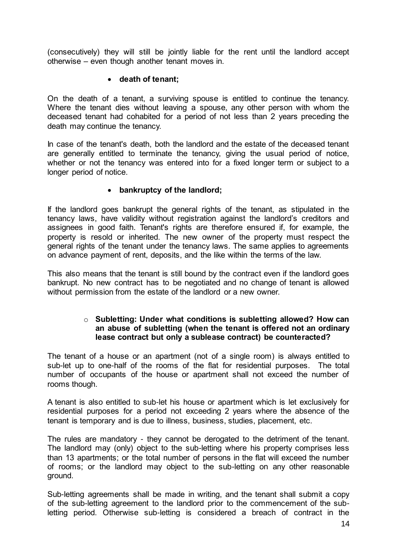(consecutively) they will still be jointly liable for the rent until the landlord accept otherwise – even though another tenant moves in.

### **death of tenant;**

On the death of a tenant, a surviving spouse is entitled to continue the tenancy. Where the tenant dies without leaving a spouse, any other person with whom the deceased tenant had cohabited for a period of not less than 2 years preceding the death may continue the tenancy.

In case of the tenant's death, both the landlord and the estate of the deceased tenant are generally entitled to terminate the tenancy, giving the usual period of notice, whether or not the tenancy was entered into for a fixed longer term or subject to a longer period of notice.

### **bankruptcy of the landlord;**

If the landlord goes bankrupt the general rights of the tenant, as stipulated in the tenancy laws, have validity without registration against the landlord's creditors and assignees in good faith. Tenant's rights are therefore ensured if, for example, the property is resold or inherited. The new owner of the property must respect the general rights of the tenant under the tenancy laws. The same applies to agreements on advance payment of rent, deposits, and the like within the terms of the law.

This also means that the tenant is still bound by the contract even if the landlord goes bankrupt. No new contract has to be negotiated and no change of tenant is allowed without permission from the estate of the landlord or a new owner.

#### o **Subletting: Under what conditions is subletting allowed? How can an abuse of subletting (when the tenant is offered not an ordinary lease contract but only a sublease contract) be counteracted?**

The tenant of a house or an apartment (not of a single room) is always entitled to sub-let up to one-half of the rooms of the flat for residential purposes. The total number of occupants of the house or apartment shall not exceed the number of rooms though.

A tenant is also entitled to sub-let his house or apartment which is let exclusively for residential purposes for a period not exceeding 2 years where the absence of the tenant is temporary and is due to illness, business, studies, placement, etc.

The rules are mandatory - they cannot be derogated to the detriment of the tenant. The landlord may (only) object to the sub-letting where his property comprises less than 13 apartments; or the total number of persons in the flat will exceed the number of rooms; or the landlord may object to the sub-letting on any other reasonable ground.

Sub-letting agreements shall be made in writing, and the tenant shall submit a copy of the sub-letting agreement to the landlord prior to the commencement of the subletting period. Otherwise sub-letting is considered a breach of contract in the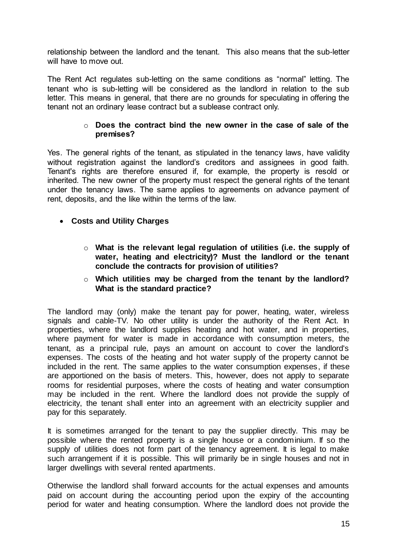relationship between the landlord and the tenant. This also means that the sub-letter will have to move out.

The Rent Act regulates sub-letting on the same conditions as "normal" letting. The tenant who is sub-letting will be considered as the landlord in relation to the sub letter. This means in general, that there are no grounds for speculating in offering the tenant not an ordinary lease contract but a sublease contract only.

#### o **Does the contract bind the new owner in the case of sale of the premises?**

Yes. The general rights of the tenant, as stipulated in the tenancy laws, have validity without registration against the landlord's creditors and assignees in good faith. Tenant's rights are therefore ensured if, for example, the property is resold or inherited. The new owner of the property must respect the general rights of the tenant under the tenancy laws. The same applies to agreements on advance payment of rent, deposits, and the like within the terms of the law.

# **Costs and Utility Charges**

o **What is the relevant legal regulation of utilities (i.e. the supply of water, heating and electricity)? Must the landlord or the tenant conclude the contracts for provision of utilities?**

### o **Which utilities may be charged from the tenant by the landlord? What is the standard practice?**

The landlord may (only) make the tenant pay for power, heating, water, wireless signals and cable-TV. No other utility is under the authority of the Rent Act. In properties, where the landlord supplies heating and hot water, and in properties, where payment for water is made in accordance with consumption meters, the tenant, as a principal rule, pays an amount on account to cover the landlord's expenses. The costs of the heating and hot water supply of the property cannot be included in the rent. The same applies to the water consumption expenses, if these are apportioned on the basis of meters. This, however, does not apply to separate rooms for residential purposes, where the costs of heating and water consumption may be included in the rent. Where the landlord does not provide the supply of electricity, the tenant shall enter into an agreement with an electricity supplier and pay for this separately.

It is sometimes arranged for the tenant to pay the supplier directly. This may be possible where the rented property is a single house or a condominium. If so the supply of utilities does not form part of the tenancy agreement. It is legal to make such arrangement if it is possible. This will primarily be in single houses and not in larger dwellings with several rented apartments.

Otherwise the landlord shall forward accounts for the actual expenses and amounts paid on account during the accounting period upon the expiry of the accounting period for water and heating consumption. Where the landlord does not provide the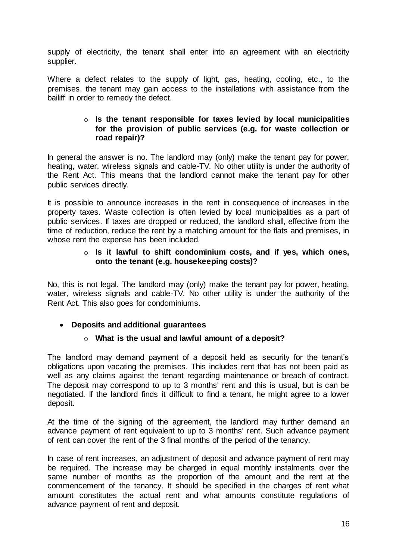supply of electricity, the tenant shall enter into an agreement with an electricity supplier.

Where a defect relates to the supply of light, gas, heating, cooling, etc., to the premises, the tenant may gain access to the installations with assistance from the bailiff in order to remedy the defect.

#### o **Is the tenant responsible for taxes levied by local municipalities for the provision of public services (e.g. for waste collection or road repair)?**

In general the answer is no. The landlord may (only) make the tenant pay for power, heating, water, wireless signals and cable-TV. No other utility is under the authority of the Rent Act. This means that the landlord cannot make the tenant pay for other public services directly.

It is possible to announce increases in the rent in consequence of increases in the property taxes. Waste collection is often levied by local municipalities as a part of public services. If taxes are dropped or reduced, the landlord shall, effective from the time of reduction, reduce the rent by a matching amount for the flats and premises, in whose rent the expense has been included.

#### o **Is it lawful to shift condominium costs, and if yes, which ones, onto the tenant (e.g. housekeeping costs)?**

No, this is not legal. The landlord may (only) make the tenant pay for power, heating, water, wireless signals and cable-TV. No other utility is under the authority of the Rent Act. This also goes for condominiums.

# **Deposits and additional guarantees**

# o **What is the usual and lawful amount of a deposit?**

The landlord may demand payment of a deposit held as security for the tenant's obligations upon vacating the premises. This includes rent that has not been paid as well as any claims against the tenant regarding maintenance or breach of contract. The deposit may correspond to up to 3 months' rent and this is usual, but is can be negotiated. If the landlord finds it difficult to find a tenant, he might agree to a lower deposit.

At the time of the signing of the agreement, the landlord may further demand an advance payment of rent equivalent to up to 3 months' rent. Such advance payment of rent can cover the rent of the 3 final months of the period of the tenancy.

In case of rent increases, an adjustment of deposit and advance payment of rent may be required. The increase may be charged in equal monthly instalments over the same number of months as the proportion of the amount and the rent at the commencement of the tenancy. It should be specified in the charges of rent what amount constitutes the actual rent and what amounts constitute regulations of advance payment of rent and deposit.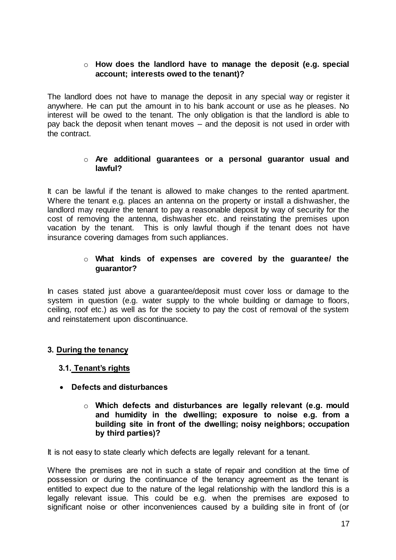### o **How does the landlord have to manage the deposit (e.g. special account; interests owed to the tenant)?**

The landlord does not have to manage the deposit in any special way or register it anywhere. He can put the amount in to his bank account or use as he pleases. No interest will be owed to the tenant. The only obligation is that the landlord is able to pay back the deposit when tenant moves – and the deposit is not used in order with the contract.

#### o **Are additional guarantees or a personal guarantor usual and lawful?**

It can be lawful if the tenant is allowed to make changes to the rented apartment. Where the tenant e.g. places an antenna on the property or install a dishwasher, the landlord may require the tenant to pay a reasonable deposit by way of security for the cost of removing the antenna, dishwasher etc. and reinstating the premises upon vacation by the tenant. This is only lawful though if the tenant does not have insurance covering damages from such appliances.

#### o **What kinds of expenses are covered by the guarantee/ the guarantor?**

In cases stated just above a guarantee/deposit must cover loss or damage to the system in question (e.g. water supply to the whole building or damage to floors, ceiling, roof etc.) as well as for the society to pay the cost of removal of the system and reinstatement upon discontinuance.

# **3. During the tenancy**

#### **3.1. Tenant's rights**

- **Defects and disturbances** 
	- o **Which defects and disturbances are legally relevant (e.g. mould and humidity in the dwelling; exposure to noise e.g. from a building site in front of the dwelling; noisy neighbors; occupation by third parties)?**

It is not easy to state clearly which defects are legally relevant for a tenant.

Where the premises are not in such a state of repair and condition at the time of possession or during the continuance of the tenancy agreement as the tenant is entitled to expect due to the nature of the legal relationship with the landlord this is a legally relevant issue. This could be e.g. when the premises are exposed to significant noise or other inconveniences caused by a building site in front of (or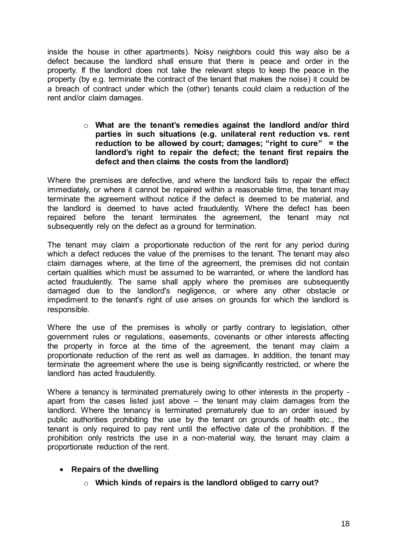inside the house in other apartments). Noisy neighbors could this way also be a defect because the landlord shall ensure that there is peace and order in the property. If the landlord does not take the relevant steps to keep the peace in the property (by e.g. terminate the contract of the tenant that makes the noise) it could be a breach of contract under which the (other) tenants could claim a reduction of the rent and/or claim damages.

#### o **What are the tenant's remedies against the landlord and/or third parties in such situations (e.g. unilateral rent reduction vs. rent reduction to be allowed by court; damages; "right to cure" = the landlord's right to repair the defect; the tenant first repairs the defect and then claims the costs from the landlord)**

Where the premises are defective, and where the landlord fails to repair the effect immediately, or where it cannot be repaired within a reasonable time, the tenant may terminate the agreement without notice if the defect is deemed to be material, and the landlord is deemed to have acted fraudulently. Where the defect has been repaired before the tenant terminates the agreement, the tenant may not subsequently rely on the defect as a ground for termination.

The tenant may claim a proportionate reduction of the rent for any period during which a defect reduces the value of the premises to the tenant. The tenant may also claim damages where, at the time of the agreement, the premises did not contain certain qualities which must be assumed to be warranted, or where the landlord has acted fraudulently. The same shall apply where the premises are subsequently damaged due to the landlord's negligence, or where any other obstacle or impediment to the tenant's right of use arises on grounds for which the landlord is responsible.

Where the use of the premises is wholly or partly contrary to legislation, other government rules or regulations, easements, covenants or other interests affecting the property in force at the time of the agreement, the tenant may claim a proportionate reduction of the rent as well as damages. In addition, the tenant may terminate the agreement where the use is being significantly restricted, or where the landlord has acted fraudulently.

Where a tenancy is terminated prematurely owing to other interests in the property apart from the cases listed just above – the tenant may claim damages from the landlord. Where the tenancy is terminated prematurely due to an order issued by public authorities prohibiting the use by the tenant on grounds of health etc., the tenant is only required to pay rent until the effective date of the prohibition. If the prohibition only restricts the use in a non-material way, the tenant may claim a proportionate reduction of the rent.

# **•** Repairs of the dwelling

o **Which kinds of repairs is the landlord obliged to carry out?**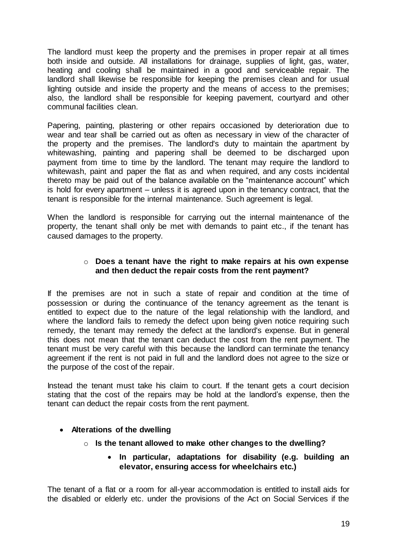The landlord must keep the property and the premises in proper repair at all times both inside and outside. All installations for drainage, supplies of light, gas, water, heating and cooling shall be maintained in a good and serviceable repair. The landlord shall likewise be responsible for keeping the premises clean and for usual lighting outside and inside the property and the means of access to the premises; also, the landlord shall be responsible for keeping pavement, courtyard and other communal facilities clean.

Papering, painting, plastering or other repairs occasioned by deterioration due to wear and tear shall be carried out as often as necessary in view of the character of the property and the premises. The landlord's duty to maintain the apartment by whitewashing, painting and papering shall be deemed to be discharged upon payment from time to time by the landlord. The tenant may require the landlord to whitewash, paint and paper the flat as and when required, and any costs incidental thereto may be paid out of the balance available on the "maintenance account" which is hold for every apartment – unless it is agreed upon in the tenancy contract, that the tenant is responsible for the internal maintenance. Such agreement is legal.

When the landlord is responsible for carrying out the internal maintenance of the property, the tenant shall only be met with demands to paint etc., if the tenant has caused damages to the property.

# o **Does a tenant have the right to make repairs at his own expense and then deduct the repair costs from the rent payment?**

If the premises are not in such a state of repair and condition at the time of possession or during the continuance of the tenancy agreement as the tenant is entitled to expect due to the nature of the legal relationship with the landlord, and where the landlord fails to remedy the defect upon being given notice requiring such remedy, the tenant may remedy the defect at the landlord's expense. But in general this does not mean that the tenant can deduct the cost from the rent payment. The tenant must be very careful with this because the landlord can terminate the tenancy agreement if the rent is not paid in full and the landlord does not agree to the size or the purpose of the cost of the repair.

Instead the tenant must take his claim to court. If the tenant gets a court decision stating that the cost of the repairs may be hold at the landlord's expense, then the tenant can deduct the repair costs from the rent payment.

# **Alterations of the dwelling**

- o **Is the tenant allowed to make other changes to the dwelling?**
	- **In particular, adaptations for disability (e.g. building an elevator, ensuring access for wheelchairs etc.)**

The tenant of a flat or a room for all-year accommodation is entitled to install aids for the disabled or elderly etc. under the provisions of the Act on Social Services if the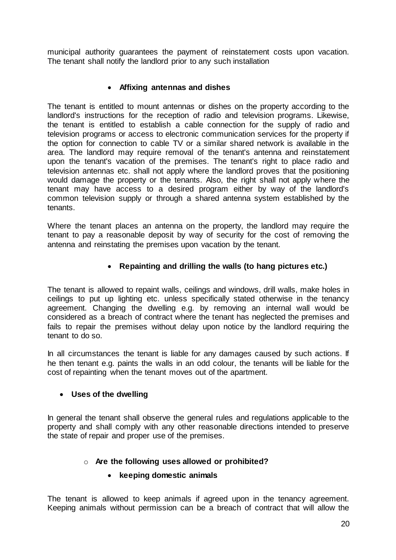municipal authority guarantees the payment of reinstatement costs upon vacation. The tenant shall notify the landlord prior to any such installation

# **Affixing antennas and dishes**

The tenant is entitled to mount antennas or dishes on the property according to the landlord's instructions for the reception of radio and television programs. Likewise, the tenant is entitled to establish a cable connection for the supply of radio and television programs or access to electronic communication services for the property if the option for connection to cable TV or a similar shared network is available in the area. The landlord may require removal of the tenant's antenna and reinstatement upon the tenant's vacation of the premises. The tenant's right to place radio and television antennas etc. shall not apply where the landlord proves that the positioning would damage the property or the tenants. Also, the right shall not apply where the tenant may have access to a desired program either by way of the landlord's common television supply or through a shared antenna system established by the tenants.

Where the tenant places an antenna on the property, the landlord may require the tenant to pay a reasonable deposit by way of security for the cost of removing the antenna and reinstating the premises upon vacation by the tenant.

### **Repainting and drilling the walls (to hang pictures etc.)**

The tenant is allowed to repaint walls, ceilings and windows, drill walls, make holes in ceilings to put up lighting etc. unless specifically stated otherwise in the tenancy agreement. Changing the dwelling e.g. by removing an internal wall would be considered as a breach of contract where the tenant has neglected the premises and fails to repair the premises without delay upon notice by the landlord requiring the tenant to do so.

In all circumstances the tenant is liable for any damages caused by such actions. If he then tenant e.g. paints the walls in an odd colour, the tenants will be liable for the cost of repainting when the tenant moves out of the apartment.

#### **Uses of the dwelling**

In general the tenant shall observe the general rules and regulations applicable to the property and shall comply with any other reasonable directions intended to preserve the state of repair and proper use of the premises.

# o **Are the following uses allowed or prohibited?**

#### **keeping domestic animals**

The tenant is allowed to keep animals if agreed upon in the tenancy agreement. Keeping animals without permission can be a breach of contract that will allow the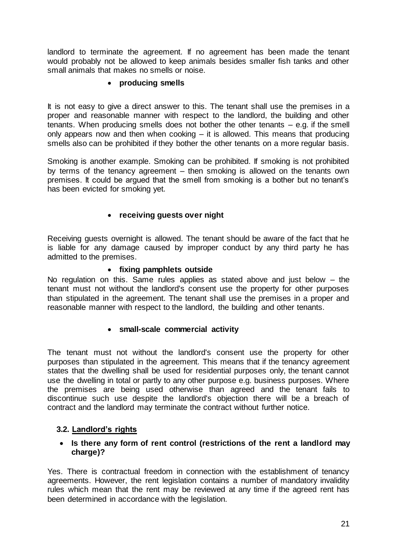landlord to terminate the agreement. If no agreement has been made the tenant would probably not be allowed to keep animals besides smaller fish tanks and other small animals that makes no smells or noise.

# **producing smells**

It is not easy to give a direct answer to this. The tenant shall use the premises in a proper and reasonable manner with respect to the landlord, the building and other tenants. When producing smells does not bother the other tenants – e.g. if the smell only appears now and then when cooking – it is allowed. This means that producing smells also can be prohibited if they bother the other tenants on a more regular basis.

Smoking is another example. Smoking can be prohibited. If smoking is not prohibited by terms of the tenancy agreement – then smoking is allowed on the tenants own premises. It could be argued that the smell from smoking is a bother but no tenant's has been evicted for smoking yet.

# **receiving guests over night**

Receiving guests overnight is allowed. The tenant should be aware of the fact that he is liable for any damage caused by improper conduct by any third party he has admitted to the premises.

#### **fixing pamphlets outside**

No regulation on this. Same rules applies as stated above and just below – the tenant must not without the landlord's consent use the property for other purposes than stipulated in the agreement. The tenant shall use the premises in a proper and reasonable manner with respect to the landlord, the building and other tenants.

#### **small-scale commercial activity**

The tenant must not without the landlord's consent use the property for other purposes than stipulated in the agreement. This means that if the tenancy agreement states that the dwelling shall be used for residential purposes only, the tenant cannot use the dwelling in total or partly to any other purpose e.g. business purposes. Where the premises are being used otherwise than agreed and the tenant fails to discontinue such use despite the landlord's objection there will be a breach of contract and the landlord may terminate the contract without further notice.

# **3.2. Landlord's rights**

#### **Is there any form of rent control (restrictions of the rent a landlord may charge)?**

Yes. There is contractual freedom in connection with the establishment of tenancy agreements. However, the rent legislation contains a number of mandatory invalidity rules which mean that the rent may be reviewed at any time if the agreed rent has been determined in accordance with the legislation.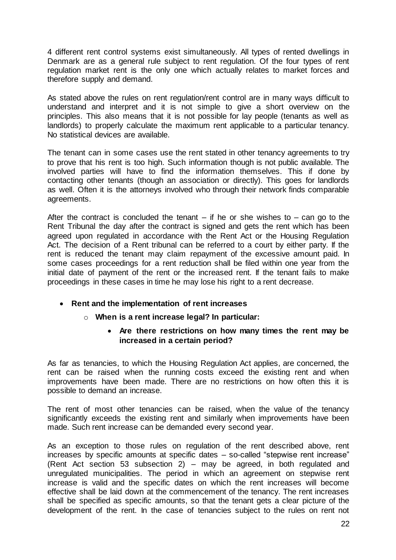4 different rent control systems exist simultaneously. All types of rented dwellings in Denmark are as a general rule subject to rent regulation. Of the four types of rent regulation market rent is the only one which actually relates to market forces and therefore supply and demand.

As stated above the rules on rent regulation/rent control are in many ways difficult to understand and interpret and it is not simple to give a short overview on the principles. This also means that it is not possible for lay people (tenants as well as landlords) to properly calculate the maximum rent applicable to a particular tenancy. No statistical devices are available.

The tenant can in some cases use the rent stated in other tenancy agreements to try to prove that his rent is too high. Such information though is not public available. The involved parties will have to find the information themselves. This if done by contacting other tenants (though an association or directly). This goes for landlords as well. Often it is the attorneys involved who through their network finds comparable agreements.

After the contract is concluded the tenant – if he or she wishes to – can go to the Rent Tribunal the day after the contract is signed and gets the rent which has been agreed upon regulated in accordance with the Rent Act or the Housing Regulation Act. The decision of a Rent tribunal can be referred to a court by either party. If the rent is reduced the tenant may claim repayment of the excessive amount paid. In some cases proceedings for a rent reduction shall be filed within one year from the initial date of payment of the rent or the increased rent. If the tenant fails to make proceedings in these cases in time he may lose his right to a rent decrease.

- **Rent and the implementation of rent increases**
	- o **When is a rent increase legal? In particular:**
		- **Are there restrictions on how many times the rent may be increased in a certain period?**

As far as tenancies, to which the Housing Regulation Act applies, are concerned, the rent can be raised when the running costs exceed the existing rent and when improvements have been made. There are no restrictions on how often this it is possible to demand an increase.

The rent of most other tenancies can be raised, when the value of the tenancy significantly exceeds the existing rent and similarly when improvements have been made. Such rent increase can be demanded every second year.

As an exception to those rules on regulation of the rent described above, rent increases by specific amounts at specific dates – so-called "stepwise rent increase" (Rent Act section 53 subsection 2) – may be agreed, in both regulated and unregulated municipalities. The period in which an agreement on stepwise rent increase is valid and the specific dates on which the rent increases will become effective shall be laid down at the commencement of the tenancy. The rent increases shall be specified as specific amounts, so that the tenant gets a clear picture of the development of the rent. In the case of tenancies subject to the rules on rent not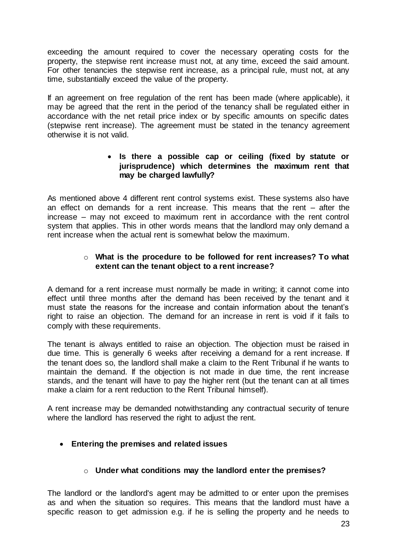exceeding the amount required to cover the necessary operating costs for the property, the stepwise rent increase must not, at any time, exceed the said amount. For other tenancies the stepwise rent increase, as a principal rule, must not, at any time, substantially exceed the value of the property.

If an agreement on free regulation of the rent has been made (where applicable), it may be agreed that the rent in the period of the tenancy shall be regulated either in accordance with the net retail price index or by specific amounts on specific dates (stepwise rent increase). The agreement must be stated in the tenancy agreement otherwise it is not valid.

# **Is there a possible cap or ceiling (fixed by statute or jurisprudence) which determines the maximum rent that may be charged lawfully?**

As mentioned above 4 different rent control systems exist. These systems also have an effect on demands for a rent increase. This means that the rent – after the increase – may not exceed to maximum rent in accordance with the rent control system that applies. This in other words means that the landlord may only demand a rent increase when the actual rent is somewhat below the maximum.

# o **What is the procedure to be followed for rent increases? To what extent can the tenant object to a rent increase?**

A demand for a rent increase must normally be made in writing; it cannot come into effect until three months after the demand has been received by the tenant and it must state the reasons for the increase and contain information about the tenant's right to raise an objection. The demand for an increase in rent is void if it fails to comply with these requirements.

The tenant is always entitled to raise an objection. The objection must be raised in due time. This is generally 6 weeks after receiving a demand for a rent increase. If the tenant does so, the landlord shall make a claim to the Rent Tribunal if he wants to maintain the demand. If the objection is not made in due time, the rent increase stands, and the tenant will have to pay the higher rent (but the tenant can at all times make a claim for a rent reduction to the Rent Tribunal himself).

A rent increase may be demanded notwithstanding any contractual security of tenure where the landlord has reserved the right to adjust the rent.

# **Entering the premises and related issues**

# o **Under what conditions may the landlord enter the premises?**

The landlord or the landlord's agent may be admitted to or enter upon the premises as and when the situation so requires. This means that the landlord must have a specific reason to get admission e.g. if he is selling the property and he needs to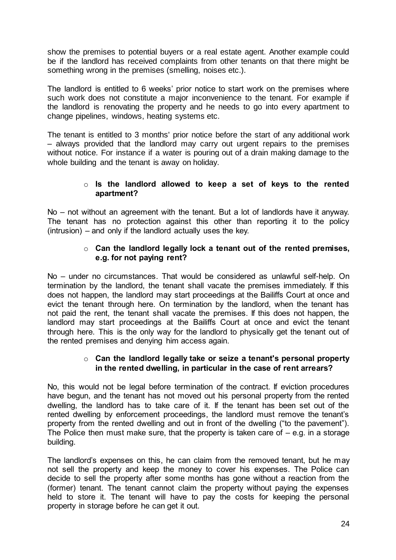show the premises to potential buyers or a real estate agent. Another example could be if the landlord has received complaints from other tenants on that there might be something wrong in the premises (smelling, noises etc.).

The landlord is entitled to 6 weeks' prior notice to start work on the premises where such work does not constitute a major inconvenience to the tenant. For example if the landlord is renovating the property and he needs to go into every apartment to change pipelines, windows, heating systems etc.

The tenant is entitled to 3 months' prior notice before the start of any additional work – always provided that the landlord may carry out urgent repairs to the premises without notice. For instance if a water is pouring out of a drain making damage to the whole building and the tenant is away on holiday.

### o **Is the landlord allowed to keep a set of keys to the rented apartment?**

No – not without an agreement with the tenant. But a lot of landlords have it anyway. The tenant has no protection against this other than reporting it to the policy (intrusion) – and only if the landlord actually uses the key.

# o **Can the landlord legally lock a tenant out of the rented premises, e.g. for not paying rent?**

No – under no circumstances. That would be considered as unlawful self-help. On termination by the landlord, the tenant shall vacate the premises immediately. If this does not happen, the landlord may start proceedings at the Bailiffs Court at once and evict the tenant through here. On termination by the landlord, when the tenant has not paid the rent, the tenant shall vacate the premises. If this does not happen, the landlord may start proceedings at the Bailiffs Court at once and evict the tenant through here. This is the only way for the landlord to physically get the tenant out of the rented premises and denying him access again.

### o **Can the landlord legally take or seize a tenant's personal property in the rented dwelling, in particular in the case of rent arrears?**

No, this would not be legal before termination of the contract. If eviction procedures have begun, and the tenant has not moved out his personal property from the rented dwelling, the landlord has to take care of it. If the tenant has been set out of the rented dwelling by enforcement proceedings, the landlord must remove the tenant's property from the rented dwelling and out in front of the dwelling ("to the pavement"). The Police then must make sure, that the property is taken care of  $-$  e.g. in a storage building.

The landlord's expenses on this, he can claim from the removed tenant, but he may not sell the property and keep the money to cover his expenses. The Police can decide to sell the property after some months has gone without a reaction from the (former) tenant. The tenant cannot claim the property without paying the expenses held to store it. The tenant will have to pay the costs for keeping the personal property in storage before he can get it out.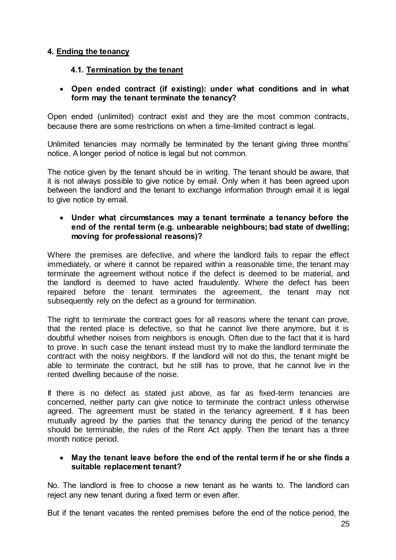# **4. Ending the tenancy**

# **4.1. Termination by the tenant**

# **Open ended contract (if existing): under what conditions and in what form may the tenant terminate the tenancy?**

Open ended (unlimited) contract exist and they are the most common contracts, because there are some restrictions on when a time-limited contract is legal.

Unlimited tenancies may normally be terminated by the tenant giving three months' notice. A longer period of notice is legal but not common.

The notice given by the tenant should be in writing. The tenant should be aware, that it is not always possible to give notice by email. Only when it has been agreed upon between the landlord and the tenant to exchange information through email it is legal to give notice by email.

#### **Under what circumstances may a tenant terminate a tenancy before the end of the rental term (e.g. unbearable neighbours; bad state of dwelling; moving for professional reasons)?**

Where the premises are defective, and where the landlord fails to repair the effect immediately, or where it cannot be repaired within a reasonable time, the tenant may terminate the agreement without notice if the defect is deemed to be material, and the landlord is deemed to have acted fraudulently. Where the defect has been repaired before the tenant terminates the agreement, the tenant may not subsequently rely on the defect as a ground for termination.

The right to terminate the contract goes for all reasons where the tenant can prove, that the rented place is defective, so that he cannot live there anymore, but it is doubtful whether noises from neighbors is enough. Often due to the fact that it is hard to prove. In such case the tenant instead must try to make the landlord terminate the contract with the noisy neighbors. If the landlord will not do this, the tenant might be able to terminate the contract, but he still has to prove, that he cannot live in the rented dwelling because of the noise.

If there is no defect as stated just above, as far as fixed-term tenancies are concerned, neither party can give notice to terminate the contract unless otherwise agreed. The agreement must be stated in the tenancy agreement. If it has been mutually agreed by the parties that the tenancy during the period of the tenancy should be terminable, the rules of the Rent Act apply. Then the tenant has a three month notice period.

### **May the tenant leave before the end of the rental term if he or she finds a suitable replacement tenant?**

No. The landlord is free to choose a new tenant as he wants to. The landlord can reject any new tenant during a fixed term or even after.

But if the tenant vacates the rented premises before the end of the notice period, the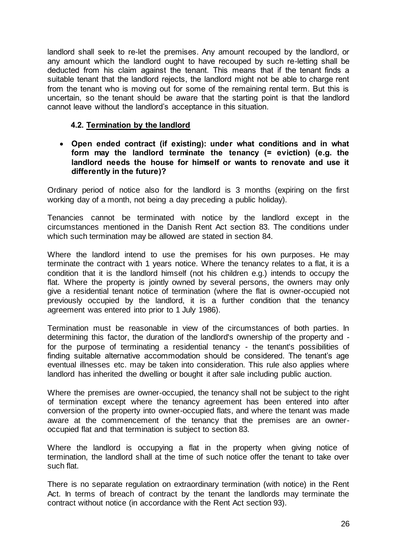landlord shall seek to re-let the premises. Any amount recouped by the landlord, or any amount which the landlord ought to have recouped by such re-letting shall be deducted from his claim against the tenant. This means that if the tenant finds a suitable tenant that the landlord rejects, the landlord might not be able to charge rent from the tenant who is moving out for some of the remaining rental term. But this is uncertain, so the tenant should be aware that the starting point is that the landlord cannot leave without the landlord's acceptance in this situation.

# **4.2. Termination by the landlord**

 **Open ended contract (if existing): under what conditions and in what form may the landlord terminate the tenancy (= eviction) (e.g. the landlord needs the house for himself or wants to renovate and use it differently in the future)?**

Ordinary period of notice also for the landlord is 3 months (expiring on the first working day of a month, not being a day preceding a public holiday).

Tenancies cannot be terminated with notice by the landlord except in the circumstances mentioned in the Danish Rent Act section 83. The conditions under which such termination may be allowed are stated in section 84.

Where the landlord intend to use the premises for his own purposes. He may terminate the contract with 1 years notice. Where the tenancy relates to a flat, it is a condition that it is the landlord himself (not his children e.g.) intends to occupy the flat. Where the property is jointly owned by several persons, the owners may only give a residential tenant notice of termination (where the flat is owner-occupied not previously occupied by the landlord, it is a further condition that the tenancy agreement was entered into prior to 1 July 1986).

Termination must be reasonable in view of the circumstances of both parties. In determining this factor, the duration of the landlord's ownership of the property and for the purpose of terminating a residential tenancy - the tenant's possibilities of finding suitable alternative accommodation should be considered. The tenant's age eventual illnesses etc. may be taken into consideration. This rule also applies where landlord has inherited the dwelling or bought it after sale including public auction.

Where the premises are owner-occupied, the tenancy shall not be subject to the right of termination except where the tenancy agreement has been entered into after conversion of the property into owner-occupied flats, and where the tenant was made aware at the commencement of the tenancy that the premises are an owneroccupied flat and that termination is subject to section 83.

Where the landlord is occupying a flat in the property when giving notice of termination, the landlord shall at the time of such notice offer the tenant to take over such flat.

There is no separate regulation on extraordinary termination (with notice) in the Rent Act. In terms of breach of contract by the tenant the landlords may terminate the contract without notice (in accordance with the Rent Act section 93).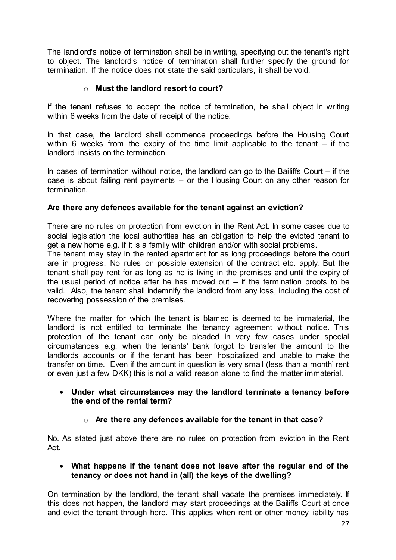The landlord's notice of termination shall be in writing, specifying out the tenant's right to object. The landlord's notice of termination shall further specify the ground for termination. If the notice does not state the said particulars, it shall be void.

# o **Must the landlord resort to court?**

If the tenant refuses to accept the notice of termination, he shall object in writing within 6 weeks from the date of receipt of the notice.

In that case, the landlord shall commence proceedings before the Housing Court within 6 weeks from the expiry of the time limit applicable to the tenant  $-$  if the landlord insists on the termination.

In cases of termination without notice, the landlord can go to the Bailiffs Court  $-$  if the case is about failing rent payments – or the Housing Court on any other reason for termination.

# **Are there any defences available for the tenant against an eviction?**

There are no rules on protection from eviction in the Rent Act. In some cases due to social legislation the local authorities has an obligation to help the evicted tenant to get a new home e.g. if it is a family with children and/or with social problems.

The tenant may stay in the rented apartment for as long proceedings before the court are in progress. No rules on possible extension of the contract etc. apply. But the tenant shall pay rent for as long as he is living in the premises and until the expiry of the usual period of notice after he has moved out  $-$  if the termination proofs to be valid. Also, the tenant shall indemnify the landlord from any loss, including the cost of recovering possession of the premises.

Where the matter for which the tenant is blamed is deemed to be immaterial, the landlord is not entitled to terminate the tenancy agreement without notice. This protection of the tenant can only be pleaded in very few cases under special circumstances e.g. when the tenants' bank forgot to transfer the amount to the landlords accounts or if the tenant has been hospitalized and unable to make the transfer on time. Even if the amount in question is very small (less than a month' rent or even just a few DKK) this is not a valid reason alone to find the matter immaterial.

#### **Under what circumstances may the landlord terminate a tenancy before the end of the rental term?**

# o **Are there any defences available for the tenant in that case?**

No. As stated just above there are no rules on protection from eviction in the Rent Act.

#### **What happens if the tenant does not leave after the regular end of the tenancy or does not hand in (all) the keys of the dwelling?**

On termination by the landlord, the tenant shall vacate the premises immediately. If this does not happen, the landlord may start proceedings at the Bailiffs Court at once and evict the tenant through here. This applies when rent or other money liability has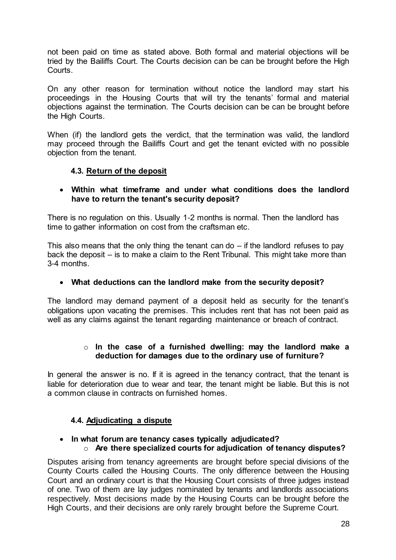not been paid on time as stated above. Both formal and material objections will be tried by the Bailiffs Court. The Courts decision can be can be brought before the High Courts.

On any other reason for termination without notice the landlord may start his proceedings in the Housing Courts that will try the tenants' formal and material objections against the termination. The Courts decision can be can be brought before the High Courts.

When (if) the landlord gets the verdict, that the termination was valid, the landlord may proceed through the Bailiffs Court and get the tenant evicted with no possible objection from the tenant.

# **4.3. Return of the deposit**

### **Within what timeframe and under what conditions does the landlord have to return the tenant's security deposit?**

There is no regulation on this. Usually 1-2 months is normal. Then the landlord has time to gather information on cost from the craftsman etc.

This also means that the only thing the tenant can do  $-$  if the landlord refuses to pay back the deposit – is to make a claim to the Rent Tribunal. This might take more than 3-4 months.

# **What deductions can the landlord make from the security deposit?**

The landlord may demand payment of a deposit held as security for the tenant's obligations upon vacating the premises. This includes rent that has not been paid as well as any claims against the tenant regarding maintenance or breach of contract.

### o **In the case of a furnished dwelling: may the landlord make a deduction for damages due to the ordinary use of furniture?**

In general the answer is no. If it is agreed in the tenancy contract, that the tenant is liable for deterioration due to wear and tear, the tenant might be liable. But this is not a common clause in contracts on furnished homes.

# **4.4. Adjudicating a dispute**

#### **In what forum are tenancy cases typically adjudicated?** o **Are there specialized courts for adjudication of tenancy disputes?**

Disputes arising from tenancy agreements are brought before special divisions of the County Courts called the Housing Courts. The only difference between the Housing Court and an ordinary court is that the Housing Court consists of three judges instead of one. Two of them are lay judges nominated by tenants and landlords associations respectively. Most decisions made by the Housing Courts can be brought before the High Courts, and their decisions are only rarely brought before the Supreme Court.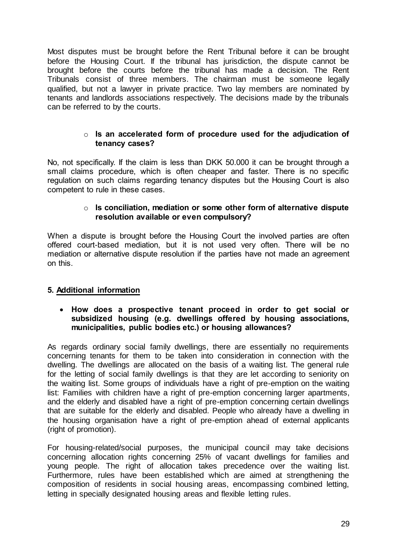Most disputes must be brought before the Rent Tribunal before it can be brought before the Housing Court. If the tribunal has jurisdiction, the dispute cannot be brought before the courts before the tribunal has made a decision. The Rent Tribunals consist of three members. The chairman must be someone legally qualified, but not a lawyer in private practice. Two lay members are nominated by tenants and landlords associations respectively. The decisions made by the tribunals can be referred to by the courts.

#### o **Is an accelerated form of procedure used for the adjudication of tenancy cases?**

No, not specifically. If the claim is less than DKK 50.000 it can be brought through a small claims procedure, which is often cheaper and faster. There is no specific regulation on such claims regarding tenancy disputes but the Housing Court is also competent to rule in these cases.

#### o **Is conciliation, mediation or some other form of alternative dispute resolution available or even compulsory?**

When a dispute is brought before the Housing Court the involved parties are often offered court-based mediation, but it is not used very often. There will be no mediation or alternative dispute resolution if the parties have not made an agreement on this.

# **5. Additional information**

#### **How does a prospective tenant proceed in order to get social or subsidized housing (e.g. dwellings offered by housing associations, municipalities, public bodies etc.) or housing allowances?**

As regards ordinary social family dwellings, there are essentially no requirements concerning tenants for them to be taken into consideration in connection with the dwelling. The dwellings are allocated on the basis of a waiting list. The general rule for the letting of social family dwellings is that they are let according to seniority on the waiting list. Some groups of individuals have a right of pre-emption on the waiting list: Families with children have a right of pre-emption concerning larger apartments, and the elderly and disabled have a right of pre-emption concerning certain dwellings that are suitable for the elderly and disabled. People who already have a dwelling in the housing organisation have a right of pre-emption ahead of external applicants (right of promotion).

For housing-related/social purposes, the municipal council may take decisions concerning allocation rights concerning 25% of vacant dwellings for families and young people. The right of allocation takes precedence over the waiting list. Furthermore, rules have been established which are aimed at strengthening the composition of residents in social housing areas, encompassing combined letting, letting in specially designated housing areas and flexible letting rules.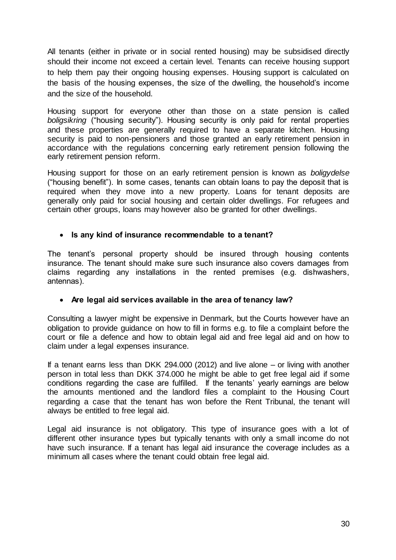All tenants (either in private or in social rented housing) may be subsidised directly should their income not exceed a certain level. Tenants can receive housing support to help them pay their ongoing housing expenses. Housing support is calculated on the basis of the housing expenses, the size of the dwelling, the household's income and the size of the household.

Housing support for everyone other than those on a state pension is called *boligsikring* ("housing security"). Housing security is only paid for rental properties and these properties are generally required to have a separate kitchen. Housing security is paid to non-pensioners and those granted an early retirement pension in accordance with the regulations concerning early retirement pension following the early retirement pension reform.

Housing support for those on an early retirement pension is known as *boligydelse* ("housing benefit"). In some cases, tenants can obtain loans to pay the deposit that is required when they move into a new property. Loans for tenant deposits are generally only paid for social housing and certain older dwellings. For refugees and certain other groups, loans may however also be granted for other dwellings.

# **Is any kind of insurance recommendable to a tenant?**

The tenant's personal property should be insured through housing contents insurance. The tenant should make sure such insurance also covers damages from claims regarding any installations in the rented premises (e.g. dishwashers, antennas).

# **Are legal aid services available in the area of tenancy law?**

Consulting a lawyer might be expensive in Denmark, but the Courts however have an obligation to provide guidance on how to fill in forms e.g. to file a complaint before the court or file a defence and how to obtain legal aid and free legal aid and on how to claim under a legal expenses insurance.

If a tenant earns less than DKK 294.000 (2012) and live alone – or living with another person in total less than DKK 374.000 he might be able to get free legal aid if some conditions regarding the case are fulfilled. If the tenants' yearly earnings are below the amounts mentioned and the landlord files a complaint to the Housing Court regarding a case that the tenant has won before the Rent Tribunal, the tenant will always be entitled to free legal aid.

Legal aid insurance is not obligatory. This type of insurance goes with a lot of different other insurance types but typically tenants with only a small income do not have such insurance. If a tenant has legal aid insurance the coverage includes as a minimum all cases where the tenant could obtain free legal aid.